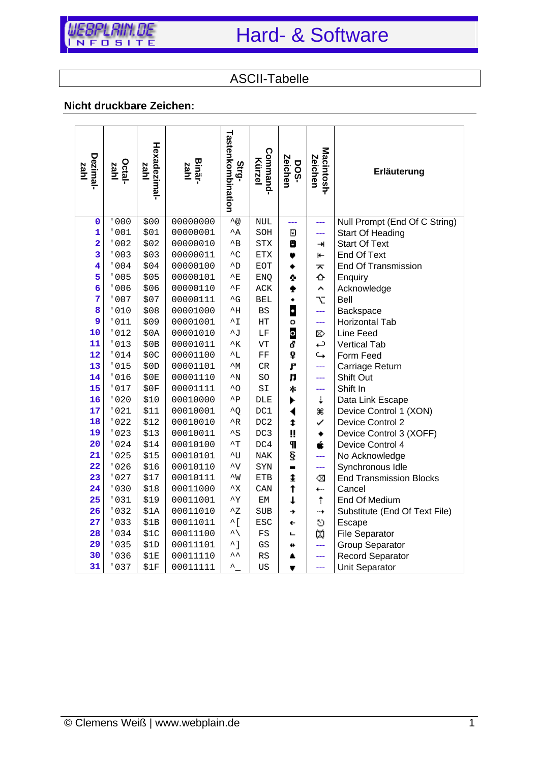

### Hard- & Software

ASCII-Tabelle

#### **Nicht druckbare Zeichen:**

| <b>Dezimal</b> -<br>ldas | Octal- | Hexadezimal-<br><b>zahl</b> | Binär-   | <b>Tastenkombination</b><br><b>Strg</b> . | <b>Command-</b><br>Kürzel | <b>Zeichen</b><br><b>DOS-</b> | Macintosh-<br><b>Zeichen</b> | Erläuterung                    |
|--------------------------|--------|-----------------------------|----------|-------------------------------------------|---------------------------|-------------------------------|------------------------------|--------------------------------|
| $\mathbf 0$              | '000   | \$00                        | 00000000 | $\overline{\mathcal{L}_{\text{@}}}$       | <b>NUL</b>                | ---                           | ---                          | Null Prompt (End Of C String)  |
| 1                        | '001   | \$01                        | 00000001 | $^{\wedge}$ A                             | SOH                       | Θ                             | ---                          | <b>Start Of Heading</b>        |
| $\overline{\mathbf{2}}$  | '002   | \$02                        | 00000010 | $^{\wedge}$ B                             | <b>STX</b>                | Θ                             | ᆊ                            | <b>Start Of Text</b>           |
| 3                        | '003   | \$03                        | 00000011 | $\overline{C}$                            | <b>ETX</b>                | ۷                             | $\leftarrow$                 | End Of Text                    |
| 4                        | '004   | \$04                        | 00000100 | $\mathtt{\uparrow}_{\mathcal{D}}$         | EOT                       | ٠                             | ᅎ                            | <b>End Of Transmission</b>     |
| 5                        | '005   | \$05                        | 00000101 | E                                         | ENQ                       | ÷                             | ♦                            | Enquiry                        |
| 6                        | '006   | \$06                        | 00000110 | $\mathstrut^{\texttt{A}}\texttt{F}$       | ${\rm ACK}$               | ÷                             | ^                            | Acknowledge                    |
| 7                        | '007   | \$07                        | 00000111 | $\mathord{\char`{^\smallfrown}} G$        | <b>BEL</b>                | ۰                             | Ľ.                           | Bell                           |
| 8                        | '010   | \$08                        | 00001000 | $\mathstrut^{\texttt{A}}\text{H}$         | <b>BS</b>                 | $\ddot{\phantom{a}}$          | ---                          | Backspace                      |
| 9                        | '011   | \$09                        | 00001001 | $\overline{1}$                            | HΤ                        | ۰                             | ---                          | Horizontal Tab                 |
| 10                       | '012   | \$0A                        | 00001010 | $^{\wedge}$ J                             | LF                        | o                             | ⊗                            | Line Feed                      |
| 11                       | '013   | \$0B                        | 00001011 | $\mathord{\char'4}\kappa$                 | VT                        | ď                             | ب                            | <b>Vertical Tab</b>            |
| 12                       | '014   | \$0C                        | 00001100 | $^{\wedge}$ L                             | ${\rm FF}$                | Q                             | $\hookrightarrow$            | Form Feed                      |
| 13                       | '015   | \$0D                        | 00001101 | $\mathord{\uparrow_{\mathrm{M}}}$         | CR                        | F                             | ---                          | Carriage Return                |
| 14                       | '016   | \$0E                        | 00001110 | $\mathord{\uparrow_{\mathrm{N}}}$         | SO                        | J.                            | 444                          | <b>Shift Out</b>               |
| 15                       | '017   | \$0F                        | 00001111 | $^{\wedge}$ O                             | SI                        | \$.                           | ---                          | Shift In                       |
| 16                       | '020   | \$10                        | 00010000 | $^{\wedge}P$                              | DLE                       | ▶                             | ŧ.                           | Data Link Escape               |
| 17                       | '021   | \$11                        | 00010001 | $^{\wedge}$ Q                             | DC1                       | ◀                             | æ                            | Device Control 1 (XON)         |
| 18                       | '022   | \$12                        | 00010010 | $^\mathord{\sim}_\mathbb{R}$              | DC2                       | ‡                             | ✓                            | Device Control 2               |
| 19                       | '023   | \$13                        | 00010011 | $\mathord{\uparrow_S}$                    | DC3                       | π                             | ٠                            | Device Control 3 (XOFF)        |
| 20                       | '024   | \$14                        | 00010100 | $\mathbf{r}$                              | DC4                       | П                             | ú                            | Device Control 4               |
| 21                       | '025   | \$15                        | 00010101 | $\overline{U}$                            | $\rm NAK$                 | ş                             | ---                          | No Acknowledge                 |
| 22                       | '026   | \$16                        | 00010110 | $\sim_V$                                  | SYN                       |                               | ---                          | Synchronous Idle               |
| 23                       | '027   | \$17                        | 00010111 | $\sim_{W}$                                | $_{\rm ETB}$              | ŧ                             | ⊗                            | <b>End Transmission Blocks</b> |
| 24                       | '030   | \$18                        | 00011000 | $\mathord{\uparrow_{\mathbf{X}}}$         | CAN                       | t                             | $\ddotsc$                    | Cancel                         |
| 25                       | '031   | \$19                        | 00011001 | $\mathbf{Y}^{\mathbf{A}}$                 | ЕM                        | $\ddagger$                    | $\ddagger$                   | End Of Medium                  |
| 26                       | '032   | \$1A                        | 00011010 | $^{\wedge}Z$                              | <b>SUB</b>                | →                             | ┄┾                           | Substitute (End Of Text File)  |
| 27                       | '033   | \$1B                        | 00011011 | $\overline{\phantom{a}}$                  | <b>ESC</b>                | ←                             | O                            | Escape                         |
| 28                       | '034   | \$1c                        | 00011100 | $\overline{\phantom{a}}$                  | FS                        | Щ                             | 笖                            | <b>File Separator</b>          |
| 29                       | '035   | \$1D                        | 00011101 | $\sim$ ]                                  | GS                        | ₩                             | ---                          | <b>Group Separator</b>         |
| 30                       | '036   | \$1E                        | 00011110 | $\lambda$                                 | RS                        | ▲                             | 444                          | <b>Record Separator</b>        |
| 31                       | '037   | \$1F                        | 00011111 | ᄾ                                         | US                        | Ŧ                             | ---                          | Unit Separator                 |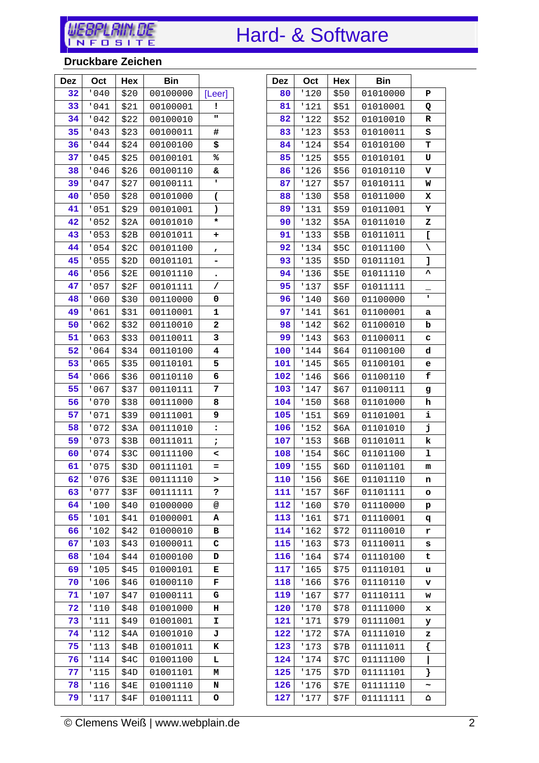

## Hard- & Software

#### **Druckbare Zeichen**

| <b>Dez</b> | Oct  | Hex  | Bin      |        |
|------------|------|------|----------|--------|
| 32         | '040 | \$20 | 00100000 | [Leer] |
| 33         | '041 | \$21 | 00100001 | ĩ      |
| 34         | '042 | \$22 | 00100010 | H      |
| 35         | '043 | \$23 | 00100011 | #      |
| 36         | '044 | \$24 | 00100100 | \$     |
| 37         | '045 | \$25 | 00100101 | ℁      |
| 38         | '046 | \$26 | 00100110 | &      |
| 39         | '047 | \$27 | 00100111 | ı      |
| 40         | '050 | \$28 | 00101000 | (      |
| 41         | '051 | \$29 | 00101001 | )      |
| 42         | '052 | \$2A | 00101010 | *      |
| 43         | '053 | \$2B | 00101011 | ٠      |
| 44         | '054 | \$2C | 00101100 |        |
| 45         | '055 | \$2D | 00101101 |        |
| 46         | '056 | \$2E | 00101110 |        |
| 47         | '057 | \$2F | 00101111 | Τ      |
| 48         | '060 | \$30 | 00110000 | 0      |
| 49         | '061 | \$31 | 00110001 | 1      |
| 50         | '062 | \$32 | 00110010 | 2      |
| 51         | '063 | \$33 | 00110011 | 3      |
| 52         | '064 | \$34 | 00110100 | 4      |
| 53         | '065 | \$35 | 00110101 | 5      |
| 54         | '066 | \$36 | 00110110 | 6      |
| 55         | '067 | \$37 | 00110111 | 7      |
| 56         | '070 | \$38 | 00111000 | 8      |
| 57         | '071 | \$39 | 00111001 | 9      |
| 58         | '072 | \$3A | 00111010 | ፡      |
| 59         | '073 | \$3B | 00111011 | ì      |
| 60         | '074 | \$3C | 00111100 | <      |
| 61         | '075 | \$3D | 00111101 | =      |
| 62         | '076 | \$3E | 00111110 | >      |
| 63         | '077 | \$3F | 00111111 | 5      |
| 64         | '100 | \$40 | 01000000 | @      |
| 65         | '101 | \$41 | 01000001 | А      |
| 66         | '102 | \$42 | 01000010 | в      |
| 67         | '103 | \$43 | 01000011 | C      |
| 68         | '104 | \$44 | 01000100 | D      |
| 69         | '105 | \$45 | 01000101 | Е      |
| 70         | '106 | \$46 | 01000110 | F      |
| 71         | '107 | \$47 | 01000111 | G      |
| 72         | '110 | \$48 | 01001000 | н      |
| 73         | '111 | \$49 | 01001001 | I      |
| 74         | '112 | \$4A | 01001010 | J      |
| 75         | '113 | \$4B | 01001011 | ĸ      |
| 76         | '114 | \$4C | 01001100 | L      |
| 77         | '115 | \$4D | 01001101 | М      |
| 78         | '116 | \$4E | 01001110 | N      |
| 79         | '117 | \$4F | 01001111 | о      |

| <b>Dez</b> | Oct  | Hex  | <b>Bin</b> |    |
|------------|------|------|------------|----|
| 80         | '120 | \$50 | 01010000   | ₽  |
| 81         | '121 | \$51 | 01010001   | Q  |
| 82         | '122 | \$52 | 01010010   | R  |
| 83         | '123 | \$53 | 01010011   | S  |
| 84         | '124 | \$54 | 01010100   | т  |
| 85         | '125 | \$55 | 01010101   | U  |
| 86         | '126 | \$56 | 01010110   | v  |
| 87         | '127 | \$57 | 01010111   | W  |
| 88         | '130 | \$58 | 01011000   | х  |
| 89         | '131 | \$59 | 01011001   | Υ  |
| 90         | '132 | \$5A | 01011010   | z  |
| 91         | '133 | \$5B | 01011011   | c  |
| 92         | '134 | \$5C | 01011100   | N  |
| 93         | '135 | \$5D | 01011101   | ı  |
| 94         | '136 | \$5E | 01011110   | ٨  |
| 95         | '137 | \$5F | 01011111   |    |
| 96         | '140 | \$60 | 01100000   | ı  |
| 97         | '141 | \$61 | 01100001   | а  |
| 98         | '142 | \$62 | 01100010   | b  |
| 99         | '143 | \$63 | 01100011   | c  |
| 100        | '144 | \$64 | 01100100   | d  |
| 101        | '145 | \$65 | 01100101   | e  |
| 102        | '146 | \$66 | 01100110   | f  |
| 103        | '147 | \$67 | 01100111   | g  |
| 104        | '150 | \$68 | 01101000   | h  |
| 105        | '151 | \$69 | 01101001   | i  |
| 106        | '152 | \$6A | 01101010   | j  |
| 107        | '153 | \$6В | 01101011   | k  |
| 108        | '154 | \$6C | 01101100   | ı  |
| 109        | '155 | \$6D | 01101101   | m  |
| 110        | '156 | \$6E | 01101110   | n  |
| 111        | '157 | \$6F | 01101111   | o  |
| 112        | '160 | \$70 | 01110000   | р  |
| 113        | '161 | \$71 | 01110001   | q  |
| 114        | '162 | \$72 | 01110010   | r  |
| 115        | '163 | \$73 | 01110011   | s  |
| 116        | '164 | \$74 | 01110100   | t  |
| 117        | '165 | \$75 | 01110101   | u  |
| 118        | '166 | \$76 | 01110110   | v  |
| 119        | '167 | \$77 | 01110111   | w  |
| 120        | '170 | \$78 | 01111000   | x  |
| 121        | '171 | \$79 | 01111001   | У  |
| 122        | '172 | \$7A | 01111010   | z  |
| 123        | '173 | \$7B | 01111011   | {  |
| 124        | '174 | \$7C | 01111100   | I  |
| 125        | '175 | \$7D | 01111101   | }  |
| 126        | '176 | \$7E | 01111110   |    |
| 127        | '177 | \$7F | 01111111   | Δ. |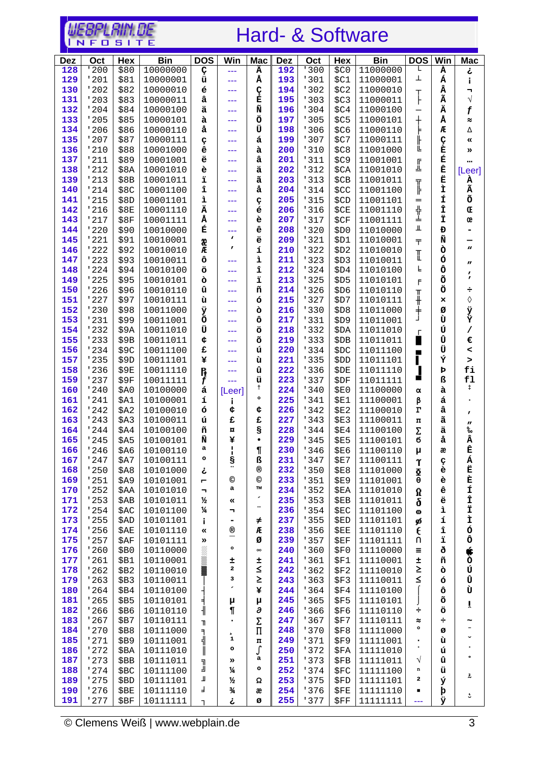# UEBPLAIN.DE

### Hard- & Software

| <b>Dez</b> | Oct          | Hex          | <b>Bin</b>           | <b>DOS</b>     | Win              | <b>Mac</b>   | <b>Dez</b> | Oct           | Hex          | <b>Bin</b>           | <b>DOS</b>                        | Win    | <b>Mac</b>            |
|------------|--------------|--------------|----------------------|----------------|------------------|--------------|------------|---------------|--------------|----------------------|-----------------------------------|--------|-----------------------|
| 128        | '200         | \$80         | 10000000             | Ç              | ---              | Ä            | 192        | '300          | \$CO         | 11000000             | L                                 | À      | ۓ                     |
| 129        | '201         | \$81         | 10000001             | ü              | ---              | Å            | 193        | '301          | \$C1         | 11000001             | ⊥                                 | Á      | î                     |
| 130        | '202         | \$82         | 10000010             | é              | ---              | C<br>É       | 194        | '302          | \$C2         | 11000010             | Ŧ                                 | Â      | н,                    |
| 131        | '203         | \$83         | 10000011             | â              | ---              |              | 195        | '303          | \$C3         | 11000011             |                                   | Ã      | $\sqrt{}$             |
| 132        | '204         | \$84         | 10000100             | ä              | ---              | Ñ            | 196        | '304          | \$C4         | 11000100             | —                                 | Ä      | $\boldsymbol{f}$      |
| 133        | '205         | \$85         | 10000101             | à              |                  | ö<br>Ü       | 197        | ' 305         | \$C5         | 11000101             | $\hspace{0.1mm} + \hspace{0.1mm}$ | Å      | $\approx$             |
| 134        | '206         | \$86         | 10000110             | å              |                  | á            | 198        | '306          | \$C6         | 11000110             | ⊧                                 | Æ      | Δ                     |
| 135<br>136 | '207<br>'210 | \$87<br>\$88 | 10000111<br>10001000 | ç<br>ê         | ---              | à            | 199<br>200 | '307<br>'310  | \$C7<br>\$C8 | 11000111<br>11001000 | ╚                                 | Ç<br>È | «<br>»                |
| 137        | '211         | \$89         | 10001001             | ë              | ---              | â            | 201        | '311          | \$C9         | 11001001             |                                   | É      |                       |
| 138        | '212         | \$8A         | 10001010             | è              | ---<br>---       | ä            | 202        | '312          | \$CA         | 11001010             | I                                 | Ê      | [Leer]                |
| 139        | '213         | \$8B         | 10001011             | ï              |                  | ã            | 203        | ' 313         | \$CB         | 11001011             |                                   | Ë      | À                     |
| 140        | '214         | \$8C         | 10001100             | î              | ---              | å            | 204        | '314          | \$CC         | 11001100             | $\mathbb{I}$                      | Ì      | Ã                     |
| 141        | '215         | \$8D         | 10001101             | ì              |                  | ç            | 205        | ' 315         | \$CD         | 11001101             | $=$                               | Í      | õ                     |
| 142        | '216         | \$8E         | 10001110             | Ä              |                  | é            | 206        | ' 316         | \$CE         | 11001110             |                                   | Î      | Œ                     |
| 143        | '217         | \$8F         | 10001111             | Å              | ---              | è            | 207        | ' 317         | \$CF         | 11001111             | $\frac{1}{2}$                     | Ï      | œ                     |
| 144        | '220         | \$90         | 10010000             | É              |                  | ê            | 208        | '320          | \$D0         | 11010000             | Щ                                 | Đ      |                       |
| 145        | '221         | \$91         | 10010001             | æ              | 1                | ë            | 209        | '321          | \$D1         | 11010001             | $\bar{\tau}$                      | Ñ      |                       |
| 146        | '222         | \$92         | 10010010             | Æ              | $\mathbf{r}$     | í            | 210        | '322          | \$D2         | 11010010             | $\mathbb T$                       | ò      | W                     |
| 147        | '223         | \$93         | 10010011             | ô              |                  | ì            | 211        | '323          | \$D3         | 11010011             | Ш                                 | ó      | $\boldsymbol{H}$      |
| 148        | '224         | \$94         | 10010100             | ö              | ---              | î            | 212        | '324          | \$D4         | 11010100             | F                                 | ô      | ,                     |
| 149        | '225         | \$95         | 10010101             | ò              | ---              | ï            | 213        | '325          | \$D5         | 11010101             | F                                 | õ      | ,                     |
| 150        | '226         | \$96         | 10010110             | û              | ---              | ñ            | 214        | '326          | \$D6         | 11010110             | $\mathbb{T}$                      | ö      | ÷                     |
| 151        | '227         | \$97         | 10010111             | ù              | ---              | ó            | 215        | '327          | \$D7         | 11010111             | ╫                                 | ×      | ♦                     |
| 152        | '230         | \$98         | 10011000             | Ÿ              |                  | ò            | 216        | '330          | \$D8         | 11011000             | $\ddagger$                        | ø      | Ÿ                     |
| 153        | '231         | \$99         | 10011001             | Ö              |                  | ô            | 217        | '331          | \$D9         | 11011001             |                                   | Ù      | Ϋ                     |
| 154        | '232         | \$9A         | 10011010             | Ü              | ---              | ö            | 218        | '332          | \$DA         | 11011010             | г                                 | Ú      | $\prime$              |
| 155        | '233         | \$9B         | 10011011             | ¢              |                  | õ            | 219        | '333          | \$DB         | 11011011             | ٠                                 | Û      | €                     |
| 156        | '234         | \$9C         | 10011100             | £              | ---              | ú            | 220        | '334          | \$DC         | 11011100             | ■                                 | Ü      | $\,<$                 |
| 157        | '235         | \$9D         | 10011101             | ¥              |                  | ù            | 221        | ' 335         | \$DD         | 11011101             | L                                 | Ý      | $\,>$                 |
| 158<br>159 | '236<br>'237 | \$9E         | 10011110             | R              | ---              | û<br>ü       | 222        | ' 336<br>'337 | \$DE         | 11011110             | п<br>▬                            | Þ<br>ß | fi<br>f1              |
| 160        | '240         | \$9F<br>\$A0 | 10011111<br>10100000 | f<br>á         | ---              | t            | 223<br>224 | '340          | \$DF<br>\$E0 | 11011111<br>11100000 |                                   | à      | ŧ                     |
| 161        | '241         | \$A1         | 10100001             | í              | [Leer]           | $\mathbf{o}$ | 225        | '341          | \$E1         | 11100001             | α<br>β                            | á      |                       |
| 162        | '242         | \$A2         | 10100010             | ó              | ¢                | ¢            | 226        | '342          | \$E2         | 11100010             | г                                 | â      |                       |
| 163        | ' 243        | \$A3         | 10100011             | ú              | £                | £            | 227        | '343          | \$E3         | 11100011             | п                                 | ã      | $\mathbf{r}$          |
| 164        | '244         | \$A4         | 10100100             | ñ              | ¤                | S            | 228        | '344          | \$E4         | 11100100             | Σ                                 | ä      | ″<br>કેત              |
| 165        | '245         | \$A5         | 10100101             | Ñ              | ¥                | $\bullet$    | 229        | '345          | <b>\$E5</b>  | 11100101             | б                                 | å      | Â                     |
| 166        | '246         | \$A6         | 10100110             | a              | ł                | $\P$         | 230        | '346          | <b>\$E6</b>  | 11100110             | μ                                 | æ      | Ê                     |
| 167        | '247         | \$A7         | 10100111             |                | S                | ß            | 231        | '347          | \$E7         | 11100111             | γ                                 | ç      | Á                     |
| 168        | '250         | \$A8         | 10101000             | ۓ              | н,               | $^\circledR$ | 232        | '350          | \$E8         | 11101000             | $\overline{\mathbf{Q}}$           | è      | Ë                     |
| 169        | '251         | <b>\$A9</b>  | 10101001             | Ē              | ©                | ©            | 233        | '351          | <b>\$E9</b>  | 11101001             | θ                                 | è      |                       |
| 170        | '252         | \$AA         | 10101010             | π              | a                | TM           | 234        | '352          | \$EA         | 11101010             | Ω                                 | ê      |                       |
| 171        | '253         | \$AB         | 10101011             | ⅓              | «                |              | 235        | ' 353         | \$EB         | 11101011             | δ                                 | ë      |                       |
| 172        | '254         | \$AC         | 10101100             | $\frac{1}{4}$  | ┑                | .,           | 236        | ' 354         | \$EC         | 11101100             | œ                                 | ì      |                       |
| 173        | '255         | \$AD         | 10101101             | î              |                  | $\neq$       | 237        | ' 355         | \$ED         | 11101101             | ø                                 | í      | <b>宦 丘 全 芏 主 う</b>    |
| 174        | '256         | \$AE         | 10101110             | «              | ®                | Æ            | 238        | ' 356         | \$EE         | 11101110             | €                                 | î      |                       |
| 175        | '257         | \$AF         | 10101111             | »              | $\circ$          | ø            | 239        | ' 357         | \$EF         | 11101111             | U                                 | ï      | ô                     |
| 176        | '260         | \$B0         | 10110000             | <b>SECTION</b> |                  | $\infty$     | 240        | '360          | <b>\$F0</b>  | 11110000             | Ξ                                 | ð      | <b>¥</b><br>⊙<br>Ú    |
| 177<br>178 | '261<br>'262 | \$B1         | 10110001<br>10110010 |                | 士<br>$\mathbf 2$ | 士<br>≤       | 241<br>242 | '361<br>'362  | \$F1<br>\$F2 | 11110001<br>11110010 | ±<br>≥                            | ñ<br>ò |                       |
| 179        | '263         | \$B2<br>\$B3 | 10110011             | ▓              | 3                | Σ            | 243        | ' 363         | \$F3         | 11110011             | $\leq$                            | ó      | $\hat{\mathtt U}$     |
| 180        | '264         | \$B4         | 10110100             |                | ٠                | ¥            | 244        | '364          | \$F4         | 11110100             |                                   | ô      | Ù                     |
| 181        | '265         | \$B5         | 10110101             |                | μ                | μ            | 245        | ' 365         | \$F5         | 11110101             |                                   | õ      |                       |
| 182        | '266         | \$В6         | 10110110             | ╡              | $\blacksquare$   | д            | 246        | '366          | <b>\$F6</b>  | 11110110             | ÷                                 | ö      | ĭ                     |
| 183        | '267         | \$B7         | 10110111             | T              | $\bullet$        | Σ            | 247        | ' 367         | \$F7         | 11110111             | ≈                                 | ÷      | $\tilde{\phantom{a}}$ |
| 184        | '270         | \$B8         | 10111000             | ٦              |                  | П            | 248        | '370          | \$F8         | 11111000             | $\mathbf{o}$                      | ø      | -                     |
| 185        | '271         | \$B9         | 10111001             | ╣              | $\bullet$<br>1   | п            | 249        | '371          | \$F9         | 11111001             | $\bullet$                         | ù      | $\check{~}$           |
| 186        | '272         | \$BA         | 10111010             |                | $\circ$          | ſ            | 250        | '372          | \$FA         | 11111010             | ٠                                 | ú      | ٠                     |
| 187        | '273         | \$BB         | 10111011             |                | »                | a            | 251        | ' 373         | \$FB         | 11111011             | $\sqrt{}$                         | û      | $\bullet$             |
| 188        | '274         | \$BC         | 10111100             | ך<br>נ         | $\frac{1}{4}$    | ٥            | 252        | '374          | \$FC         | 11111100             | n                                 | ü      |                       |
| 189        | '275         | \$BD         | 10111101             | Щ              | ⅓                | Ω            | 253        | ' 375         | \$FD         | 11111101             | 2                                 | ý      | ຸ່                    |
| 190        | '276         | \$BE         | 10111110             | ╛              | ¾                | æ            | 254        | ' 376         | \$FE         | 11111110             | п                                 | þ      | $\ddot{\cdot}$        |
| 191        | '277         | \$BF         | 10111111             | ٦              | خ                | ø            | 255        | ' 377         | \$FF         | 11111111             | ---                               | Ÿ      |                       |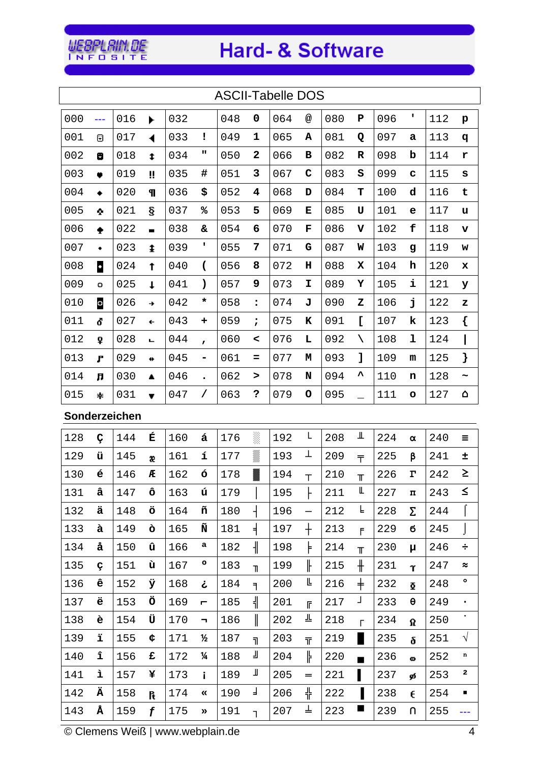## WEBPLAIN.DE

## **Hard- & Software**

|     |     |               |                |     |                          | <b>ASCII-Tabelle DOS</b> |                         |     |         |     |                   |     |                         |     |                         |
|-----|-----|---------------|----------------|-----|--------------------------|--------------------------|-------------------------|-----|---------|-----|-------------------|-----|-------------------------|-----|-------------------------|
| 000 | --- | 016           | ▶              | 032 |                          | 048                      | $\mathbf 0$             | 064 | @       | 080 | P                 | 096 | T,                      | 112 | $\mathbf{p}$            |
| 001 | Θ   | 017           | ◀              | 033 | Ţ                        | 049                      | $\mathbf{1}$            | 065 | Α       | 081 | Q                 | 097 | a                       | 113 | đ                       |
| 002 | 8   | 018           | ŧ.             | 034 | ш                        | 050                      | $\overline{\mathbf{2}}$ | 066 | в       | 082 | $\mathbf R$       | 098 | b                       | 114 | r                       |
| 003 | ۰   | 019           | Ħ              | 035 | #                        | 051                      | 3                       | 067 | C       | 083 | S                 | 099 | c                       | 115 | s                       |
| 004 | ٠   | 020           | П              | 036 | \$                       | 052                      | $\overline{\mathbf{4}}$ | 068 | D       | 084 | т                 | 100 | d                       | 116 | t                       |
| 005 | ٠   | 021           | ş              | 037 | ℅                        | 053                      | 5                       | 069 | Е       | 085 | U                 | 101 | e                       | 117 | u                       |
| 006 | ٠   | 022           | $\blacksquare$ | 038 | &                        | 054                      | 6                       | 070 | F       | 086 | V                 | 102 | £                       | 118 | $\overline{\mathbf{v}}$ |
| 007 | ٠   | 023           | ŧ              | 039 | $\blacksquare$           | 055                      | 7                       | 071 | G       | 087 | W                 | 103 | $\mathbf{g}$            | 119 | W                       |
| 008 | Ŀ   | 024           | t              | 040 | $\overline{ }$           | 056                      | 8                       | 072 | н       | 088 | X                 | 104 | h                       | 120 | x                       |
| 009 | ۰   | 025           | $\ddagger$     | 041 | $\lambda$                | 057                      | 9                       | 073 | I       | 089 | Υ                 | 105 | i                       | 121 | У                       |
| 010 | þ   | 026           | ÷.             | 042 | $\star$                  | 058                      | $\ddot{\cdot}$          | 074 | J       | 090 | z                 | 106 | j                       | 122 | z                       |
| 011 | δ   | 027           | ←              | 043 | ٠.                       | 059                      | $\ddot{ }$              | 075 | K       | 091 | c                 | 107 | k                       | 123 | {                       |
| 012 | Ŷ   | 028           | Щ              | 044 | $\mathbf{r}$             | 060                      | $\,<$                   | 076 | L       | 092 | N                 | 108 | ı                       | 124 |                         |
| 013 | F   | 029           | ₩              | 045 | $\overline{\phantom{0}}$ | 061                      | $\equiv$                | 077 | М       | 093 | 1                 | 109 | m                       | 125 | }                       |
| 014 | л   | 030           | ▲              | 046 | $\bullet$                | 062                      | >                       | 078 | N       | 094 | ٨                 | 110 | n                       | 128 | $\tilde{\phantom{a}}$   |
| 015 | ∗   | 031           | Ŧ              | 047 | $\prime$                 | 063                      | S.                      | 079 | $\circ$ | 095 |                   | 111 | $\circ$                 | 127 | Δ                       |
|     |     | Sonderzeichen |                |     |                          |                          |                         |     |         |     |                   |     |                         |     |                         |
| 128 | Ç   | 144           | É              | 160 | á                        | 176                      | ě                       | 192 | L       | 208 | Щ                 | 224 | $\pmb{\alpha}$          | 240 | Ξ                       |
| 129 | ü   | 145           | æ              | 161 | í                        | 177                      | E                       | 193 | T       | 209 | $\overline{\tau}$ | 225 | β                       | 241 | 土                       |
| 130 | é   | 146           | Æ              | 162 | ó                        | 178                      | 蠿                       | 194 | $\top$  | 210 | $\mathbb T$       | 226 | г                       | 242 | ≥                       |
| 131 | â   | 147           | ô              | 163 | ú                        | 179                      |                         | 195 | L       | 211 | Ш                 | 227 | $\pmb{\Pi}$             | 243 | ≤                       |
| 132 | ä   | 148           | ö              | 164 | ñ                        | 180                      | ┨                       | 196 | —       | 212 | L,                | 228 | Σ                       | 244 |                         |
| 133 | à   | 149           | ò              | 165 | Ñ                        | 181                      | ╡                       | 197 | $\pm$   | 213 | F.                | 229 | б                       | 245 |                         |
| 134 | å   | 150           | û              | 166 | a                        | 182                      | ╢                       | 198 | ⊧       | 214 | $\mathbb{T}$      | 230 | μ                       | 246 | ÷                       |
| 135 | Ç   | 151           | ù              | 167 | ٥                        | 183                      | T                       | 199 | ╟       | 215 | ╫                 | 231 | Υ                       | 247 | ≈                       |
| 136 | ê   | 152           | Ÿ              | 168 | ځ                        | 184                      | ٦                       | 200 | Ŀ       | 216 | $\pm$             | 232 | $\overline{\mathbf{Q}}$ | 248 | ۰                       |
| 137 | ë   | 153           | ö              | 169 | $\blacksquare$           | 185                      | ╣                       | 201 | F       | 217 | L                 | 233 | $\boldsymbol{\Theta}$   | 249 | $\bullet$               |
| 138 | è   | 154           | Ü              | 170 | п,                       | 186                      | I                       | 202 | ᅭ       | 218 | $\Gamma$          | 234 | R.                      | 250 | ٠                       |
| 139 | ï   | 155           | ¢              | 171 | ⅓                        | 187                      | T,                      | 203 | π       | 219 | П                 | 235 | ð                       | 251 | $\sqrt{}$               |
| 140 | î   | 156           | £              | 172 | ¼                        | 188                      | Щ                       | 204 | ╠       | 220 | ■                 | 236 | œ                       | 252 | n                       |
| 141 | ì   | 157           | ¥              | 173 | i.                       | 189                      | Щ                       | 205 | $=$     | 221 | ı                 | 237 | ø                       | 253 | 2                       |
|     |     |               |                |     |                          |                          |                         |     |         |     |                   |     |                         |     |                         |
| 142 | Ä   | 158           | R              | 174 | $\pmb{\ll}$              | 190                      | ┛                       | 206 | ╬       | 222 | ı                 | 238 | €                       | 254 | ٠                       |

© Clemens Weiß | www.webplain.de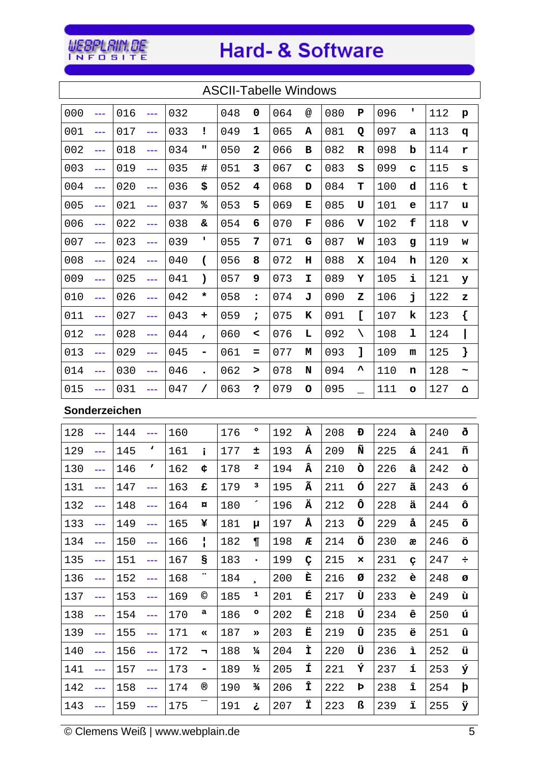## WEBPLAIN.DE<br>LNFOSITE

#### **Hard- & Software**

|     | <b>ASCII-Tabelle Windows</b> |               |                      |     |                              |     |                         |     |             |     |                           |     |              |     |                       |
|-----|------------------------------|---------------|----------------------|-----|------------------------------|-----|-------------------------|-----|-------------|-----|---------------------------|-----|--------------|-----|-----------------------|
| 000 | ---                          | 016           | $- - -$              | 032 |                              | 048 | 0                       | 064 | $\circledR$ | 080 | P                         | 096 | ٠            | 112 | $\mathbf{p}$          |
| 001 | ---                          | 017           | $- - -$              | 033 | ĩ                            | 049 | 1                       | 065 | Α           | 081 | Q                         | 097 | a            | 113 | đ                     |
| 002 | ---                          | 018           | $- - -$              | 034 | п                            | 050 | $\mathbf{2}$            | 066 | в           | 082 | R                         | 098 | b            | 114 | r                     |
| 003 | $---$                        | 019           | $- - -$              | 035 | #                            | 051 | 3                       | 067 | $\mathbf C$ | 083 | S                         | 099 | $\mathbf C$  | 115 | S                     |
| 004 | $---$                        | 020           | $- - -$              | 036 | \$                           | 052 | $\overline{\mathbf{4}}$ | 068 | D           | 084 | Т                         | 100 | d            | 116 | t                     |
| 005 | ---                          | 021           | $-$                  | 037 | ℅                            | 053 | 5                       | 069 | Е           | 085 | U                         | 101 | e            | 117 | u                     |
| 006 | ---                          | 022           | ---                  | 038 | &.                           | 054 | 6                       | 070 | F           | 086 | V                         | 102 | f            | 118 | $\mathbf v$           |
| 007 | ---                          | 023           | $--$                 | 039 | ٠                            | 055 | 7                       | 071 | ${\bf G}$   | 087 | W                         | 103 | $\mathbf{g}$ | 119 | W                     |
| 008 | ---                          | 024           | ---                  | 040 | $\overline{ }$               | 056 | 8                       | 072 | н           | 088 | $\mathbf x$               | 104 | h            | 120 | x                     |
| 009 | $---$                        | 025           | $- - -$              | 041 | $\lambda$                    | 057 | 9                       | 073 | I           | 089 | Υ                         | 105 | i            | 121 | У                     |
| 010 | ---                          | 026           | $--$                 | 042 | $\star$                      | 058 | $\ddot{\bullet}$        | 074 | J           | 090 | z                         | 106 | j            | 122 | z                     |
| 011 | ---                          | 027           | ---                  | 043 | $\ddot{}$                    | 059 | $\ddot{\phantom{0}}$    | 075 | K           | 091 | L                         | 107 | k            | 123 | {                     |
| 012 | $---$                        | 028           | $--$                 | 044 | $\mathbf{r}$                 | 060 | $\,<\,$                 | 076 | L           | 092 | N                         | 108 | ı            | 124 |                       |
| 013 | ---                          | 029           | $- - -$              | 045 | $\qquad \qquad \blacksquare$ | 061 | Ξ                       | 077 | M           | 093 | ľ                         | 109 | ${\bf m}$    | 125 | }                     |
| 014 | ---                          | 030           | ---                  | 046 | $\bullet$                    | 062 | >                       | 078 | N           | 094 | $\blacktriangle$          | 110 | n            | 128 | $\tilde{\phantom{a}}$ |
| 015 | ---                          | 031           | $--$                 | 047 | $\prime$                     | 063 | S.                      | 079 | $\circ$     | 095 |                           | 111 | $\circ$      | 127 | Δ                     |
|     |                              | Sonderzeichen |                      |     |                              |     |                         |     |             |     |                           |     |              |     |                       |
| 128 | ---                          | 144           | $--$                 | 160 |                              | 176 | $\bullet$               | 192 | À           | 208 | Đ                         | 224 | à            | 240 | ð                     |
| 129 | ---                          | 145           | $\blacktriangledown$ | 161 | î.                           | 177 |                         |     |             |     |                           |     |              |     | ñ                     |
| 130 |                              |               |                      |     |                              |     | 士                       | 193 | Á           | 209 | Ñ                         | 225 | á            | 241 |                       |
|     | ---                          | 146           | $\mathbf{r}$         | 162 | ¢                            | 178 | 2                       | 194 | Â           | 210 | ò                         | 226 | â            | 242 | ò                     |
| 131 |                              | 147           |                      | 163 | £                            | 179 | з                       | 195 | Ã           | 211 | ó                         | 227 | ã            | 243 | ó                     |
| 132 | ---                          | 148           | 444                  | 164 | $\alpha$                     | 180 | $\tilde{\phantom{a}}$   | 196 | Ä           | 212 | ô                         | 228 | ä            | 244 | ô                     |
| 133 | ---                          | 149           | ---                  | 165 | ¥                            | 181 | μ                       | 197 | Å           | 213 | õ                         | 229 | å            | 245 | õ                     |
| 134 | ---                          | 150           | ---                  | 166 | Ł                            | 182 | $\P$                    | 198 | Æ           | 214 | ö                         | 230 | æ            | 246 | ö                     |
| 135 | $\frac{1}{2}$                | 151           | ---                  | 167 | S                            | 183 | $\bullet$               | 199 | Ç           | 215 | $\boldsymbol{\mathsf{x}}$ | 231 | ç            | 247 | ÷                     |
| 136 | ---                          | 152           | ---                  | 168 | ш                            | 184 |                         | 200 | È           | 216 | Ø                         | 232 | è            | 248 | ø                     |
| 137 | ---                          | 153           | $\sim$ $\sim$        | 169 | $_{\odot}$                   | 185 | $\mathbf{1}$            | 201 | É           | 217 | Ù                         | 233 | è            | 249 | ù                     |
| 138 | $\frac{1}{2}$                | 154           | ---                  | 170 | a                            | 186 | $\mathsf{o}$            | 202 | Ê           | 218 | Ú                         | 234 | ê            | 250 | ú                     |
| 139 | ---                          | 155           | ---                  | 171 | «                            | 187 | $\gg$                   | 203 | Ë           | 219 | Û                         | 235 | ë            | 251 | û                     |
| 140 | ---                          | 156           | ---                  | 172 | π,                           | 188 | ¼                       | 204 | Ì           | 220 | Ü                         | 236 | ì            | 252 | ü                     |
| 141 | ---                          | 157           | ---                  | 173 | -                            | 189 | ⅓                       | 205 | Í           | 221 | Ý                         | 237 | í            | 253 | ý                     |
| 142 | ---                          | 158           | ---                  | 174 | $^{\circledR}$               | 190 | $\frac{3}{4}$           | 206 | Î           | 222 | Þ                         | 238 | î            | 254 | þ                     |

© Clemens Weiß | www.webplain.de